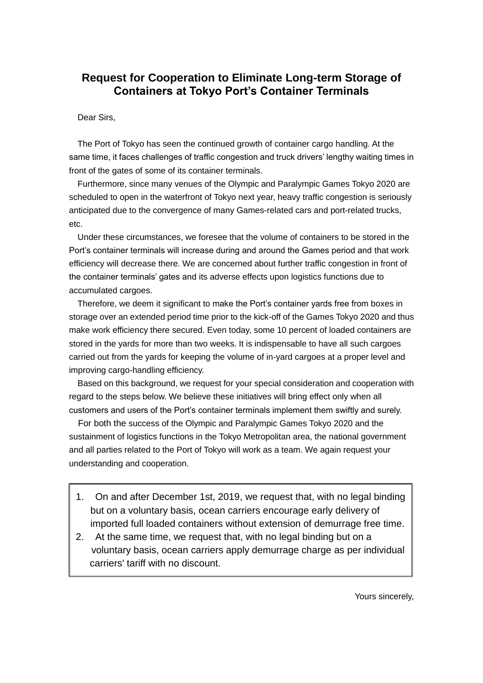## **Request for Cooperation to Eliminate Long-term Storage of Containers at Tokyo Port's Container Terminals**

Dear Sirs,

The Port of Tokyo has seen the continued growth of container cargo handling. At the same time, it faces challenges of traffic congestion and truck drivers' lengthy waiting times in front of the gates of some of its container terminals.

Furthermore, since many venues of the Olympic and Paralympic Games Tokyo 2020 are scheduled to open in the waterfront of Tokyo next year, heavy traffic congestion is seriously anticipated due to the convergence of many Games-related cars and port-related trucks, etc.

Under these circumstances, we foresee that the volume of containers to be stored in the Port's container terminals will increase during and around the Games period and that work efficiency will decrease there. We are concerned about further traffic congestion in front of the container terminals' gates and its adverse effects upon logistics functions due to accumulated cargoes.

Therefore, we deem it significant to make the Port's container yards free from boxes in storage over an extended period time prior to the kick-off of the Games Tokyo 2020 and thus make work efficiency there secured. Even today, some 10 percent of loaded containers are stored in the yards for more than two weeks. It is indispensable to have all such cargoes carried out from the yards for keeping the volume of in-yard cargoes at a proper level and improving cargo-handling efficiency.

Based on this background, we request for your special consideration and cooperation with regard to the steps below. We believe these initiatives will bring effect only when all customers and users of the Port's container terminals implement them swiftly and surely.

For both the success of the Olympic and Paralympic Games Tokyo 2020 and the sustainment of logistics functions in the Tokyo Metropolitan area, the national government and all parties related to the Port of Tokyo will work as a team. We again request your understanding and cooperation.

- 1. On and after December 1st, 2019, we request that, with no legal binding but on a voluntary basis, ocean carriers encourage early delivery of imported full loaded containers without extension of demurrage free time.
- 2. At the same time, we request that, with no legal binding but on a voluntary basis, ocean carriers apply demurrage charge as per individual carriers' tariff with no discount.

Yours sincerely,